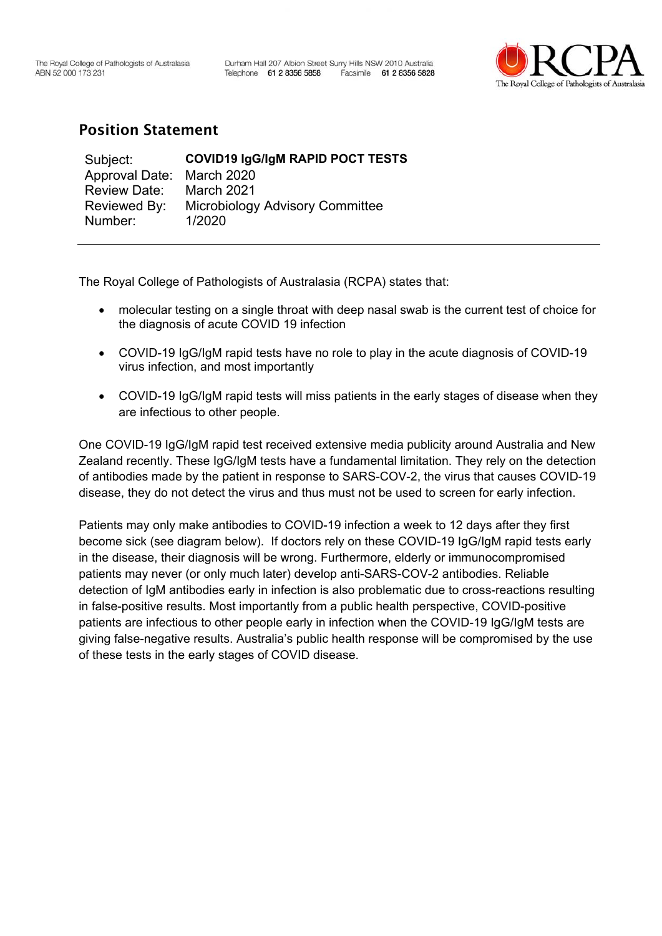

## Position Statement

| Subject:                  | <b>COVID19 IgG/IgM RAPID POCT TESTS</b> |
|---------------------------|-----------------------------------------|
| Approval Date: March 2020 |                                         |
| <b>Review Date:</b>       | March 2021                              |
| Reviewed By:              | <b>Microbiology Advisory Committee</b>  |
| Number:                   | 1/2020                                  |

The Royal College of Pathologists of Australasia (RCPA) states that:

- molecular testing on a single throat with deep nasal swab is the current test of choice for the diagnosis of acute COVID 19 infection
- COVID-19 IgG/IgM rapid tests have no role to play in the acute diagnosis of COVID-19 virus infection, and most importantly
- COVID-19 IgG/IgM rapid tests will miss patients in the early stages of disease when they are infectious to other people.

One COVID-19 IgG/IgM rapid test received extensive media publicity around Australia and New Zealand recently. These IgG/IgM tests have a fundamental limitation. They rely on the detection of antibodies made by the patient in response to SARS-COV-2, the virus that causes COVID-19 disease, they do not detect the virus and thus must not be used to screen for early infection.

Patients may only make antibodies to COVID-19 infection a week to 12 days after they first become sick (see diagram below). If doctors rely on these COVID-19 IgG/IgM rapid tests early in the disease, their diagnosis will be wrong. Furthermore, elderly or immunocompromised patients may never (or only much later) develop anti-SARS-COV-2 antibodies. Reliable detection of IgM antibodies early in infection is also problematic due to cross-reactions resulting in false-positive results. Most importantly from a public health perspective, COVID-positive patients are infectious to other people early in infection when the COVID-19 IgG/IgM tests are giving false-negative results. Australia's public health response will be compromised by the use of these tests in the early stages of COVID disease.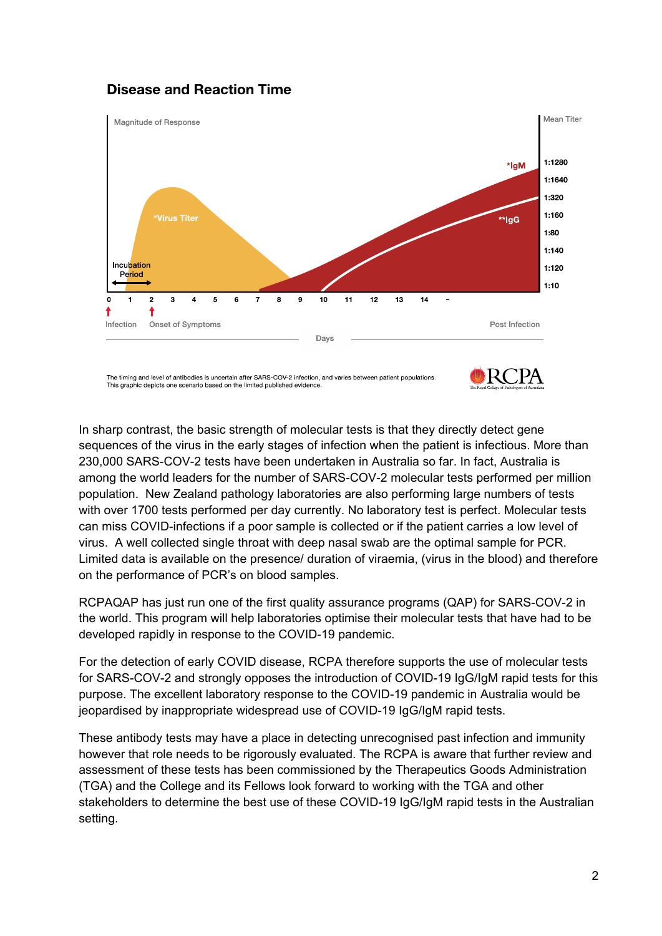## **Disease and Reaction Time**



The timing and level of antibodies is uncertain after SARS-COV-2 infection, and varies between patient populations. This graphic depicts one scenario based on the limited published evidence



In sharp contrast, the basic strength of molecular tests is that they directly detect gene sequences of the virus in the early stages of infection when the patient is infectious. More than 230,000 SARS-COV-2 tests have been undertaken in Australia so far. In fact, Australia is among the world leaders for the number of SARS-COV-2 molecular tests performed per million population. New Zealand pathology laboratories are also performing large numbers of tests with over 1700 tests performed per day currently. No laboratory test is perfect. Molecular tests can miss COVID-infections if a poor sample is collected or if the patient carries a low level of virus. A well collected single throat with deep nasal swab are the optimal sample for PCR. Limited data is available on the presence/ duration of viraemia, (virus in the blood) and therefore on the performance of PCR's on blood samples.

RCPAQAP has just run one of the first quality assurance programs (QAP) for SARS-COV-2 in the world. This program will help laboratories optimise their molecular tests that have had to be developed rapidly in response to the COVID-19 pandemic.

For the detection of early COVID disease, RCPA therefore supports the use of molecular tests for SARS-COV-2 and strongly opposes the introduction of COVID-19 IgG/IgM rapid tests for this purpose. The excellent laboratory response to the COVID-19 pandemic in Australia would be jeopardised by inappropriate widespread use of COVID-19 IgG/IgM rapid tests.

These antibody tests may have a place in detecting unrecognised past infection and immunity however that role needs to be rigorously evaluated. The RCPA is aware that further review and assessment of these tests has been commissioned by the Therapeutics Goods Administration (TGA) and the College and its Fellows look forward to working with the TGA and other stakeholders to determine the best use of these COVID-19 IgG/IgM rapid tests in the Australian setting.